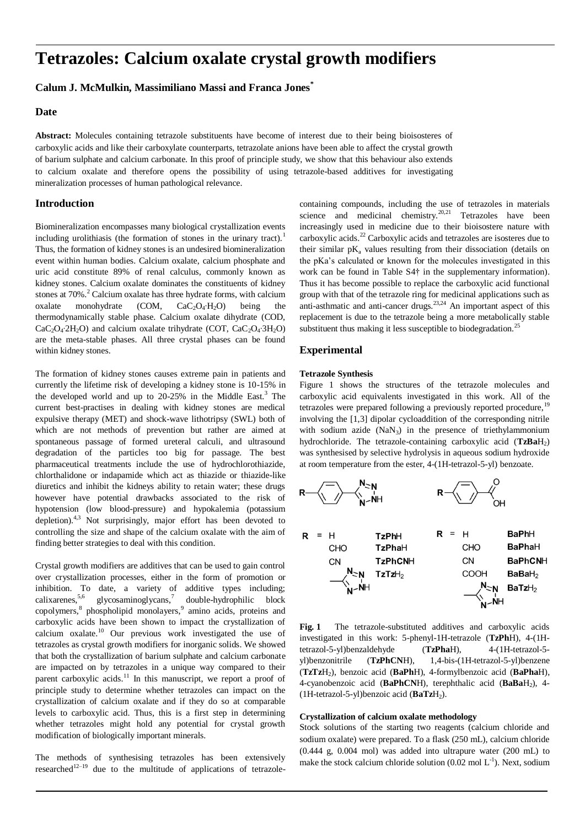# **Tetrazoles: Calcium oxalate crystal growth modifiers**

# **Calum J. McMulkin, Massimiliano Massi and Franca Jones\***

## **Date**

**Abstract:** Molecules containing tetrazole substituents have become of interest due to their being bioisosteres of carboxylic acids and like their carboxylate counterparts, tetrazolate anions have been able to affect the crystal growth of barium sulphate and calcium carbonate. In this proof of principle study, we show that this behaviour also extends to calcium oxalate and therefore opens the possibility of using tetrazole-based additives for investigating mineralization processes of human pathological relevance.

## **Introduction**

Biomineralization encompasses many biological crystallization events including urolithiasis (the formation of stones in the urinary tract).<sup>1</sup> Thus, the formation of kidney stones is an undesired biomineralization event within human bodies. Calcium oxalate, calcium phosphate and uric acid constitute 89% of renal calculus, commonly known as kidney stones. Calcium oxalate dominates the constituents of kidney stones at 70%.<sup>2</sup> Calcium oxalate has three hydrate forms, with calcium oxalate monohydrate (COM,  $CaC_2O_4$ ⋅H<sub>2</sub>O) being the thermodynamically stable phase. Calcium oxalate dihydrate (COD,  $CaC<sub>2</sub>O<sub>4</sub>·2H<sub>2</sub>O$ ) and calcium oxalate trihydrate (COT, CaC<sub>2</sub>O<sub>4</sub>⋅3H<sub>2</sub>O) are the meta-stable phases. All three crystal phases can be found within kidney stones.

The formation of kidney stones causes extreme pain in patients and currently the lifetime risk of developing a kidney stone is 10-15% in the developed world and up to  $20-25%$  in the Middle East.<sup>3</sup> The current best-practises in dealing with kidney stones are medical expulsive therapy (MET) and shock-wave lithotripsy (SWL) both of which are not methods of prevention but rather are aimed at spontaneous passage of formed ureteral calculi, and ultrasound degradation of the particles too big for passage. The best pharmaceutical treatments include the use of hydrochlorothiazide, chlorthalidone or indapamide which act as thiazide or thiazide-like diuretics and inhibit the kidneys ability to retain water; these drugs however have potential drawbacks associated to the risk of hypotension (low blood-pressure) and hypokalemia (potassium depletion).<sup>4,3</sup> Not surprisingly, major effort has been devoted to controlling the size and shape of the calcium oxalate with the aim of finding better strategies to deal with this condition.

Crystal growth modifiers are additives that can be used to gain control over crystallization processes, either in the form of promotion or inhibition. To date, a variety of additive types including; calixarenes,  $5,6$  glycosaminoglycans, double-hydrophilic block copolymers,<sup>8</sup> phospholipid monolayers,<sup>9</sup> amino acids, proteins and carboxylic acids have been shown to impact the crystallization of calcium oxalate.<sup>10</sup> Our previous work investigated the use of tetrazoles as crystal growth modifiers for inorganic solids. We showed that both the crystallization of barium sulphate and calcium carbonate are impacted on by tetrazoles in a unique way compared to their parent carboxylic acids.<sup>11</sup> In this manuscript, we report a proof of principle study to determine whether tetrazoles can impact on the crystallization of calcium oxalate and if they do so at comparable levels to carboxylic acid. Thus, this is a first step in determining whether tetrazoles might hold any potential for crystal growth modification of biologically important minerals.

The methods of synthesising tetrazoles has been extensively researched $12-19$  due to the multitude of applications of tetrazolecontaining compounds, including the use of tetrazoles in materials science and medicinal chemistry.<sup>20,21</sup> Tetrazoles have been increasingly used in medicine due to their bioisostere nature with carboxylic acids.<sup>22</sup> Carboxylic acids and tetrazoles are isosteres due to their similar  $pK_a$  values resulting from their dissociation (details on the pKa's calculated or known for the molecules investigated in this work can be found in Table S4† in the supplementary information). Thus it has become possible to replace the carboxylic acid functional group with that of the tetrazole ring for medicinal applications such as anti-asthmatic and anti-cancer drugs.<sup>23,24</sup> An important aspect of this replacement is due to the tetrazole being a more metabolically stable substituent thus making it less susceptible to biodegradation.<sup>25</sup>

## **Experimental**

## **Tetrazole Synthesis**

Figure 1 shows the structures of the tetrazole molecules and carboxylic acid equivalents investigated in this work. All of the tetrazoles were prepared following a previously reported procedure,<sup>19</sup> involving the [1,3] dipolar cycloaddition of the corresponding nitrile with sodium azide  $(NaN_3)$  in the presence of triethylammonium hydrochloride. The tetrazole-containing carboxylic acid (TzBaH<sub>2</sub>) was synthesised by selective hydrolysis in aqueous sodium hydroxide at room temperature from the ester, 4-(1H-tetrazol-5-yl) benzoate.



**Fig. 1** The tetrazole-substituted additives and carboxylic acids investigated in this work: 5-phenyl-1H-tetrazole (**TzPh**H), 4-(1Htetrazol-5-yl)benzaldehyde (**TzPha**H), 4-(1H-tetrazol-5 yl)benzonitrile (**TzPhCN**H), 1,4-bis-(1H-tetrazol-5-yl)benzene (**TzTz**H2), benzoic acid (**BaPh**H), 4-formylbenzoic acid (**BaPha**H), 4-cyanobenzoic acid (BaPhCNH), terephthalic acid (BaBaH<sub>2</sub>), 4-(1H-tetrazol-5-yl)benzoic acid (**BaTz**H<sub>2</sub>).

# **Crystallization of calcium oxalate methodology**

Stock solutions of the starting two reagents (calcium chloride and sodium oxalate) were prepared. To a flask (250 mL), calcium chloride (0.444 g, 0.004 mol) was added into ultrapure water (200 mL) to make the stock calcium chloride solution  $(0.02 \text{ mol L}^{-1})$ . Next, sodium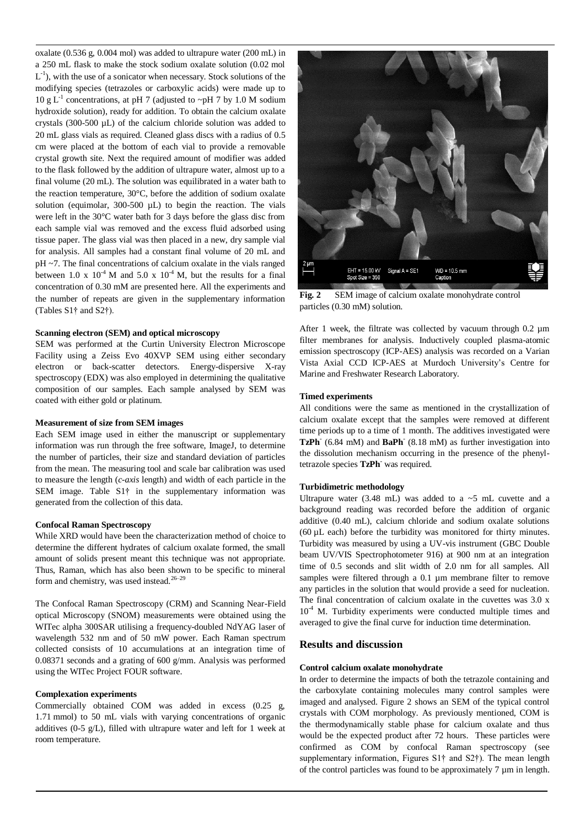oxalate (0.536 g, 0.004 mol) was added to ultrapure water (200 mL) in a 250 mL flask to make the stock sodium oxalate solution (0.02 mol  $L^{-1}$ ), with the use of a sonicator when necessary. Stock solutions of the modifying species (tetrazoles or carboxylic acids) were made up to 10 g L<sup>-1</sup> concentrations, at pH 7 (adjusted to ~pH 7 by 1.0 M sodium hydroxide solution), ready for addition. To obtain the calcium oxalate crystals (300-500 µL) of the calcium chloride solution was added to 20 mL glass vials as required. Cleaned glass discs with a radius of 0.5 cm were placed at the bottom of each vial to provide a removable crystal growth site. Next the required amount of modifier was added to the flask followed by the addition of ultrapure water, almost up to a final volume (20 mL). The solution was equilibrated in a water bath to the reaction temperature, 30°C, before the addition of sodium oxalate solution (equimolar,  $300-500$   $\mu$ L) to begin the reaction. The vials were left in the 30°C water bath for 3 days before the glass disc from each sample vial was removed and the excess fluid adsorbed using tissue paper. The glass vial was then placed in a new, dry sample vial for analysis. All samples had a constant final volume of 20 mL and pH ~7. The final concentrations of calcium oxalate in the vials ranged between 1.0 x  $10^{-4}$  M and 5.0 x  $10^{-4}$  M, but the results for a final concentration of 0.30 mM are presented here. All the experiments and the number of repeats are given in the supplementary information (Tables S1† and S2†).

## **Scanning electron (SEM) and optical microscopy**

SEM was performed at the Curtin University Electron Microscope Facility using a Zeiss Evo 40XVP SEM using either secondary electron or back-scatter detectors. Energy-dispersive X-ray spectroscopy (EDX) was also employed in determining the qualitative composition of our samples. Each sample analysed by SEM was coated with either gold or platinum.

## **Measurement of size from SEM images**

Each SEM image used in either the manuscript or supplementary information was run through the free software, ImageJ, to determine the number of particles, their size and standard deviation of particles from the mean. The measuring tool and scale bar calibration was used to measure the length (*c-axis* length) and width of each particle in the SEM image. Table S1† in the supplementary information was generated from the collection of this data.

#### **Confocal Raman Spectroscopy**

While XRD would have been the characterization method of choice to determine the different hydrates of calcium oxalate formed, the small amount of solids present meant this technique was not appropriate. Thus, Raman, which has also been shown to be specific to mineral form and chemistry, was used instead.<sup>26-29</sup>

The Confocal Raman Spectroscopy (CRM) and Scanning Near-Field optical Microscopy (SNOM) measurements were obtained using the WITec alpha 300SAR utilising a frequency-doubled NdYAG laser of wavelength 532 nm and of 50 mW power. Each Raman spectrum collected consists of 10 accumulations at an integration time of 0.08371 seconds and a grating of 600 g/mm. Analysis was performed using the WITec Project FOUR software.

## **Complexation experiments**

Commercially obtained COM was added in excess (0.25 g, 1.71 mmol) to 50 mL vials with varying concentrations of organic additives (0-5 g/L), filled with ultrapure water and left for 1 week at room temperature.



**Fig. 2** SEM image of calcium oxalate monohydrate control particles (0.30 mM) solution.

After 1 week, the filtrate was collected by vacuum through 0.2 µm filter membranes for analysis. Inductively coupled plasma-atomic emission spectroscopy (ICP-AES) analysis was recorded on a Varian Vista Axial CCD ICP-AES at Murdoch University's Centre for Marine and Freshwater Research Laboratory.

#### **Timed experiments**

All conditions were the same as mentioned in the crystallization of calcium oxalate except that the samples were removed at different time periods up to a time of 1 month. The additives investigated were TzPh<sup>-</sup> (6.84 mM) and BaPh<sup>-</sup> (8.18 mM) as further investigation into the dissolution mechanism occurring in the presence of the phenyltetrazole species **TzPh-** was required.

#### **Turbidimetric methodology**

Ultrapure water (3.48 mL) was added to a  $\sim$  5 mL cuvette and a background reading was recorded before the addition of organic additive (0.40 mL), calcium chloride and sodium oxalate solutions (60 µL each) before the turbidity was monitored for thirty minutes. Turbidity was measured by using a UV-vis instrument (GBC Double beam UV/VIS Spectrophotometer 916) at 900 nm at an integration time of 0.5 seconds and slit width of 2.0 nm for all samples. All samples were filtered through a 0.1 µm membrane filter to remove any particles in the solution that would provide a seed for nucleation. The final concentration of calcium oxalate in the cuvettes was 3.0 x  $10^{-4}$  M. Turbidity experiments were conducted multiple times and averaged to give the final curve for induction time determination.

## **Results and discussion**

## **Control calcium oxalate monohydrate**

In order to determine the impacts of both the tetrazole containing and the carboxylate containing molecules many control samples were imaged and analysed. Figure 2 shows an SEM of the typical control crystals with COM morphology. As previously mentioned, COM is the thermodynamically stable phase for calcium oxalate and thus would be the expected product after 72 hours. These particles were confirmed as COM by confocal Raman spectroscopy (see supplementary information, Figures S1† and S2†). The mean length of the control particles was found to be approximately 7 µm in length.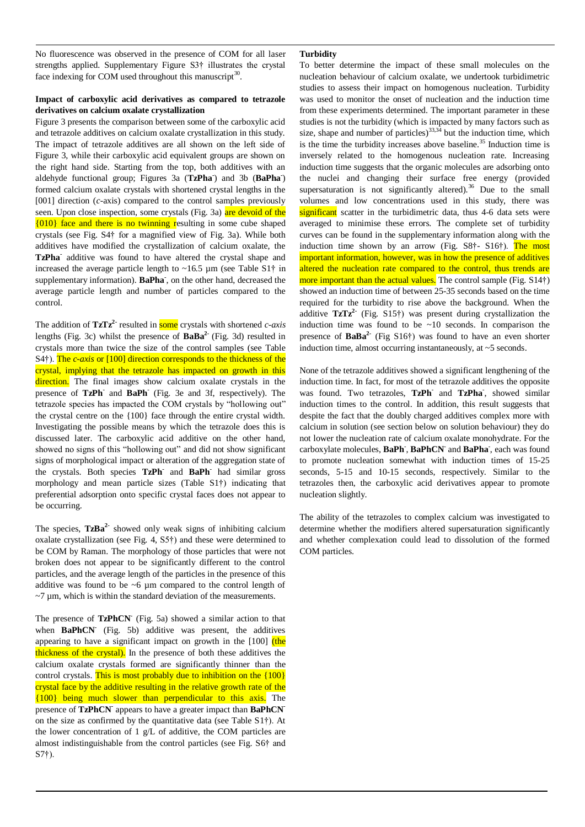No fluorescence was observed in the presence of COM for all laser strengths applied. Supplementary Figure S3† illustrates the crystal face indexing for COM used throughout this manuscript $30$ .

## **Impact of carboxylic acid derivatives as compared to tetrazole derivatives on calcium oxalate crystallization**

Figure 3 presents the comparison between some of the carboxylic acid and tetrazole additives on calcium oxalate crystallization in this study. The impact of tetrazole additives are all shown on the left side of Figure 3, while their carboxylic acid equivalent groups are shown on the right hand side. Starting from the top, both additives with an aldehyde functional group; Figures 3a (**TzPha-** ) and 3b (**BaPha-** ) formed calcium oxalate crystals with shortened crystal lengths in the [001] direction (*c*-axis) compared to the control samples previously seen. Upon close inspection, some crystals (Fig. 3a) are devoid of the {010} face and there is no twinning resulting in some cube shaped crystals (see Fig. S4† for a magnified view of Fig. 3a). While both additives have modified the crystallization of calcium oxalate, the TzPha<sup>-</sup> additive was found to have altered the crystal shape and increased the average particle length to  $~16.5 \mu m$  (see Table S1 $\dagger$  in supplementary information). **BaPha-** , on the other hand, decreased the average particle length and number of particles compared to the control.

The addition of **TzTz2-** resulted in some crystals with shortened *c-axis* lengths (Fig. 3c) whilst the presence of **BaBa2-** (Fig. 3d) resulted in crystals more than twice the size of the control samples (see Table S4†). The *c-axis* or [100] direction corresponds to the thickness of the crystal, implying that the tetrazole has impacted on growth in this direction. The final images show calcium oxalate crystals in the presence of **TzPh-**and **BaPh-** (Fig. 3e and 3f, respectively). The tetrazole species has impacted the COM crystals by "hollowing out" the crystal centre on the {100} face through the entire crystal width. Investigating the possible means by which the tetrazole does this is discussed later. The carboxylic acid additive on the other hand, showed no signs of this "hollowing out" and did not show significant signs of morphological impact or alteration of the aggregation state of the crystals. Both species **TzPh-**and **BaPh-**had similar gross morphology and mean particle sizes (Table S1†) indicating that preferential adsorption onto specific crystal faces does not appear to be occurring.

The species, **TzBa2-** showed only weak signs of inhibiting calcium oxalate crystallization (see Fig. 4, S5†) and these were determined to be COM by Raman. The morphology of those particles that were not broken does not appear to be significantly different to the control particles, and the average length of the particles in the presence of this additive was found to be ~6 µm compared to the control length of  $\sim$ 7 µm, which is within the standard deviation of the measurements.

The presence of **TzPhCN** (Fig. 5a) showed a similar action to that when **BaPhCN** (Fig. 5b) additive was present, the additives appearing to have a significant impact on growth in the  $[100]$  (the thickness of the crystal). In the presence of both these additives the calcium oxalate crystals formed are significantly thinner than the control crystals. This is most probably due to inhibition on the  $\{100\}$ crystal face by the additive resulting in the relative growth rate of the {100} being much slower than perpendicular to this axis. The presence of **TzPhCN** appears to have a greater impact than **BaPhCN** on the size as confirmed by the quantitative data (see Table S1†). At the lower concentration of 1 g/L of additive, the COM particles are almost indistinguishable from the control particles (see Fig. S6† and S7†).

## **Turbidity**

To better determine the impact of these small molecules on the nucleation behaviour of calcium oxalate, we undertook turbidimetric studies to assess their impact on homogenous nucleation. Turbidity was used to monitor the onset of nucleation and the induction time from these experiments determined. The important parameter in these studies is not the turbidity (which is impacted by many factors such as size, shape and number of particles) $33,34$  but the induction time, which is the time the turbidity increases above baseline.<sup>35</sup> Induction time is inversely related to the homogenous nucleation rate. Increasing induction time suggests that the organic molecules are adsorbing onto the nuclei and changing their surface free energy (provided supersaturation is not significantly altered).<sup>36</sup> Due to the small volumes and low concentrations used in this study, there was significant scatter in the turbidimetric data, thus 4-6 data sets were averaged to minimise these errors. The complete set of turbidity curves can be found in the supplementary information along with the induction time shown by an arrow (Fig. S8†- S16†). The most important information, however, was in how the presence of additives altered the nucleation rate compared to the control, thus trends are more important than the actual values. The control sample (Fig. S14†) showed an induction time of between 25-35 seconds based on the time required for the turbidity to rise above the background. When the additive **TzTz2-** (Fig. S15†) was present during crystallization the induction time was found to be  $\sim 10$  seconds. In comparison the presence of **BaBa2-** (Fig S16†) was found to have an even shorter induction time, almost occurring instantaneously, at ~5 seconds.

None of the tetrazole additives showed a significant lengthening of the induction time. In fact, for most of the tetrazole additives the opposite was found. Two tetrazoles, **TzPh-**and **TzPha-** , showed similar induction times to the control. In addition, this result suggests that despite the fact that the doubly charged additives complex more with calcium in solution (see section below on solution behaviour) they do not lower the nucleation rate of calcium oxalate monohydrate. For the carboxylate molecules, **BaPh-** , **BaPhCN-**and **BaPha-** , each was found to promote nucleation somewhat with induction times of 15-25 seconds, 5-15 and 10-15 seconds, respectively. Similar to the tetrazoles then, the carboxylic acid derivatives appear to promote nucleation slightly.

The ability of the tetrazoles to complex calcium was investigated to determine whether the modifiers altered supersaturation significantly and whether complexation could lead to dissolution of the formed COM particles.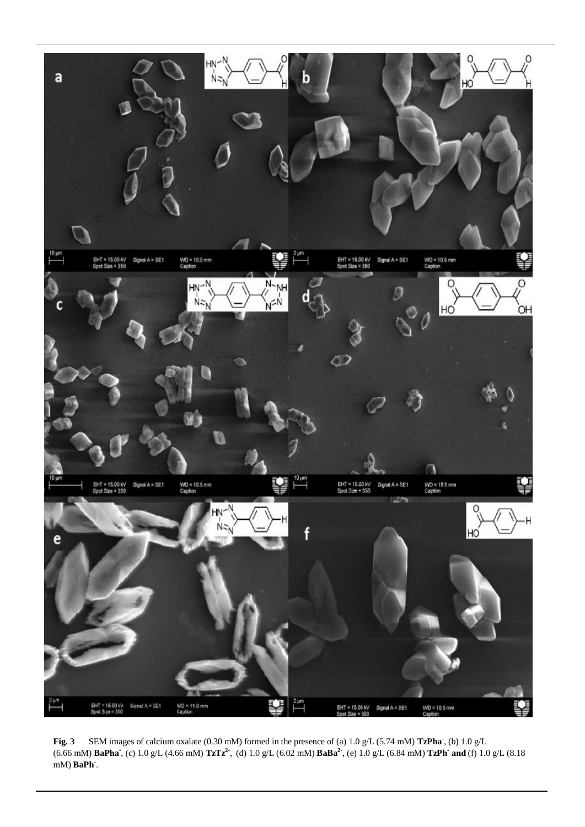

**Fig. 3** SEM images of calcium oxalate (0.30 mM) formed in the presence of (a) 1.0 g/L (5.74 mM) **TzPha-** , (b) 1.0 g/L (6.66 mM) **BaPha-** , (c) 1.0 g/L (4.66 mM) **TzTz2-** , (d) 1.0 g/L (6.02 mM) **BaBa2-** , (e) 1.0 g/L (6.84 mM) **TzPh-and** (f) 1.0 g/L (8.18 mM) **BaPh-** .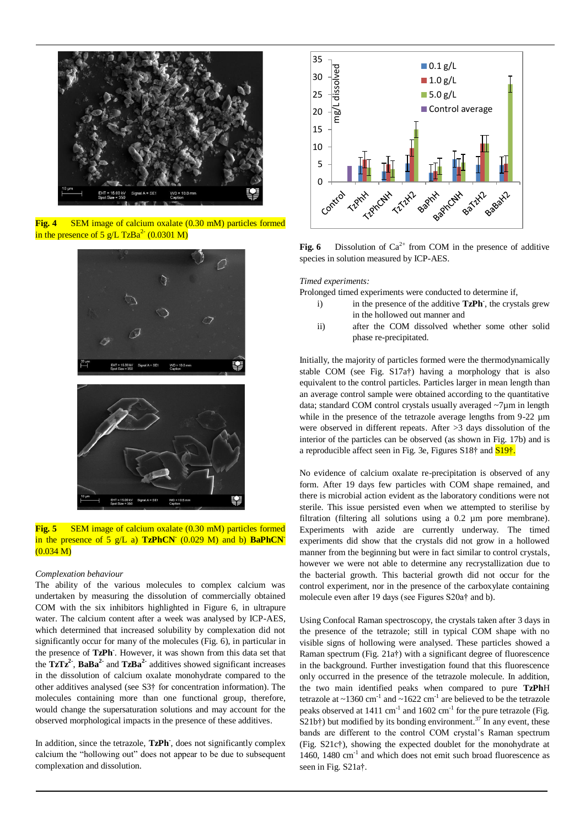

**Fig. 4** SEM image of calcium oxalate (0.30 mM) particles formed in the presence of 5  $g/L$  TzBa<sup>2-</sup> (0.0301 M)





## *Complexation behaviour*

The ability of the various molecules to complex calcium was undertaken by measuring the dissolution of commercially obtained COM with the six inhibitors highlighted in Figure 6, in ultrapure water. The calcium content after a week was analysed by ICP-AES, which determined that increased solubility by complexation did not significantly occur for many of the molecules (Fig. 6), in particular in the presence of **TzPh-** . However, it was shown from this data set that the  $TzTz^2$ ,  $BaBa^2$  and  $TzBa^2$  additives showed significant increases in the dissolution of calcium oxalate monohydrate compared to the other additives analysed (see S3† for concentration information). The molecules containing more than one functional group, therefore, would change the supersaturation solutions and may account for the observed morphological impacts in the presence of these additives.

In addition, since the tetrazole, **TzPh-** , does not significantly complex calcium the "hollowing out" does not appear to be due to subsequent complexation and dissolution.



**Fig. 6** Dissolution of  $Ca^{2+}$  from COM in the presence of additive species in solution measured by ICP-AES.

#### *Timed experiments:*

Prolonged timed experiments were conducted to determine if,

- i) in the presence of the additive **TzPh**<sup>2</sup>, the crystals grew in the hollowed out manner and
- ii) after the COM dissolved whether some other solid phase re-precipitated.

Initially, the majority of particles formed were the thermodynamically stable COM (see Fig. S17a†) having a morphology that is also equivalent to the control particles. Particles larger in mean length than an average control sample were obtained according to the quantitative data; standard COM control crystals usually averaged ~7µm in length while in the presence of the tetrazole average lengths from 9-22  $\mu$ m were observed in different repeats. After >3 days dissolution of the interior of the particles can be observed (as shown in Fig. 17b) and is a reproducible affect seen in Fig. 3e, Figures S18† and S19†.

No evidence of calcium oxalate re-precipitation is observed of any form. After 19 days few particles with COM shape remained, and there is microbial action evident as the laboratory conditions were not sterile. This issue persisted even when we attempted to sterilise by filtration (filtering all solutions using a 0.2 µm pore membrane). Experiments with azide are currently underway. The timed experiments did show that the crystals did not grow in a hollowed manner from the beginning but were in fact similar to control crystals, however we were not able to determine any recrystallization due to the bacterial growth. This bacterial growth did not occur for the control experiment, nor in the presence of the carboxylate containing molecule even after 19 days (see Figures S20a† and b).

Using Confocal Raman spectroscopy, the crystals taken after 3 days in the presence of the tetrazole; still in typical COM shape with no visible signs of hollowing were analysed. These particles showed a Raman spectrum (Fig. 21a†) with a significant degree of fluorescence in the background. Further investigation found that this fluorescence only occurred in the presence of the tetrazole molecule. In addition, the two main identified peaks when compared to pure **TzPh**H tetrazole at  $\sim$ 1360 cm<sup>-1</sup> and  $\sim$ 1622 cm<sup>-1</sup> are believed to be the tetrazole peaks observed at  $1411 \text{ cm}^{-1}$  and  $1602 \text{ cm}^{-1}$  for the pure tetrazole (Fig.  $S21b\uparrow$ ) but modified by its bonding environment.<sup>37</sup> In any event, these bands are different to the control COM crystal's Raman spectrum (Fig. S21c†), showing the expected doublet for the monohydrate at 1460, 1480 cm<sup>-1</sup> and which does not emit such broad fluorescence as seen in Fig. S21a†.